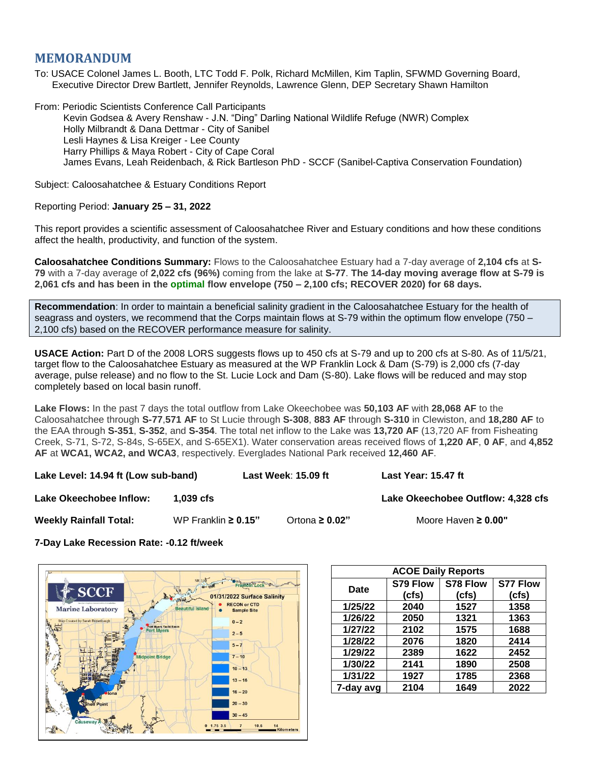## **MEMORANDUM**

To: USACE Colonel James L. Booth, LTC Todd F. Polk, Richard McMillen, Kim Taplin, SFWMD Governing Board, Executive Director Drew Bartlett, Jennifer Reynolds, Lawrence Glenn, DEP Secretary Shawn Hamilton

From: Periodic Scientists Conference Call Participants Kevin Godsea & Avery Renshaw - J.N. "Ding" Darling National Wildlife Refuge (NWR) Complex Holly Milbrandt & Dana Dettmar - City of Sanibel Lesli Haynes & Lisa Kreiger - Lee County Harry Phillips & Maya Robert - City of Cape Coral James Evans, Leah Reidenbach, & Rick Bartleson PhD - SCCF (Sanibel-Captiva Conservation Foundation)

Subject: Caloosahatchee & Estuary Conditions Report

## Reporting Period: **January 25 – 31, 2022**

This report provides a scientific assessment of Caloosahatchee River and Estuary conditions and how these conditions affect the health, productivity, and function of the system.

**Caloosahatchee Conditions Summary:** Flows to the Caloosahatchee Estuary had a 7-day average of **2,104 cfs** at **S-79** with a 7-day average of **2,022 cfs (96%)** coming from the lake at **S-77**. **The 14-day moving average flow at S-79 is 2,061 cfs and has been in the optimal flow envelope (750 – 2,100 cfs; RECOVER 2020) for 68 days.**

**Recommendation**: In order to maintain a beneficial salinity gradient in the Caloosahatchee Estuary for the health of seagrass and oysters, we recommend that the Corps maintain flows at S-79 within the optimum flow envelope (750 – 2,100 cfs) based on the RECOVER performance measure for salinity.

**USACE Action:** Part D of the 2008 LORS suggests flows up to 450 cfs at S-79 and up to 200 cfs at S-80. As of 11/5/21, target flow to the Caloosahatchee Estuary as measured at the WP Franklin Lock & Dam (S-79) is 2,000 cfs (7-day average, pulse release) and no flow to the St. Lucie Lock and Dam (S-80). Lake flows will be reduced and may stop completely based on local basin runoff.

**Lake Flows:** In the past 7 days the total outflow from Lake Okeechobee was **50,103 AF** with **28,068 AF** to the Caloosahatchee through **S-77**,**571 AF** to St Lucie through **S-308**, **883 AF** through **S-310** in Clewiston, and **18,280 AF** to the EAA through **S-351**, **S-352**, and **S-354**. The total net inflow to the Lake was **13,720 AF** (13,720 AF from Fisheating Creek, S-71, S-72, S-84s, S-65EX, and S-65EX1). Water conservation areas received flows of **1,220 AF**, **0 AF**, and **4,852 AF** at **WCA1, WCA2, and WCA3**, respectively. Everglades National Park received **12,460 AF**.

**Lake Level: 14.94 ft (Low sub-band) Last Week**: **15.09 ft Last Year: 15.47 ft**

**Lake Okeechobee Inflow:**  $\qquad$  **1,039 cfs**  $\qquad$  **Lake Okeechobee Outflow: 4,328 cfs** 

**Weekly Rainfall Total:** WP Franklin **≥ 0.15"** Ortona **≥ 0.02"** Moore Haven **≥ 0.00"**

**7-Day Lake Recession Rate: -0.12 ft/week**



| <b>ACOE Daily Reports</b> |          |          |                 |  |  |  |
|---------------------------|----------|----------|-----------------|--|--|--|
| Date                      | S79 Flow | S78 Flow | <b>S77 Flow</b> |  |  |  |
|                           | (cfs)    | (cfs)    | (cfs)           |  |  |  |
| 1/25/22                   | 2040     | 1527     | 1358            |  |  |  |
| 1/26/22                   | 2050     | 1321     | 1363            |  |  |  |
| 1/27/22                   | 2102     | 1575     | 1688            |  |  |  |
| 1/28/22                   | 2076     | 1820     | 2414            |  |  |  |
| 1/29/22                   | 2389     | 1622     | 2452            |  |  |  |
| 1/30/22                   | 2141     | 1890     | 2508            |  |  |  |
| 1/31/22                   | 1927     | 1785     | 2368            |  |  |  |
| 7-day avg                 | 2104     | 1649     | 2022            |  |  |  |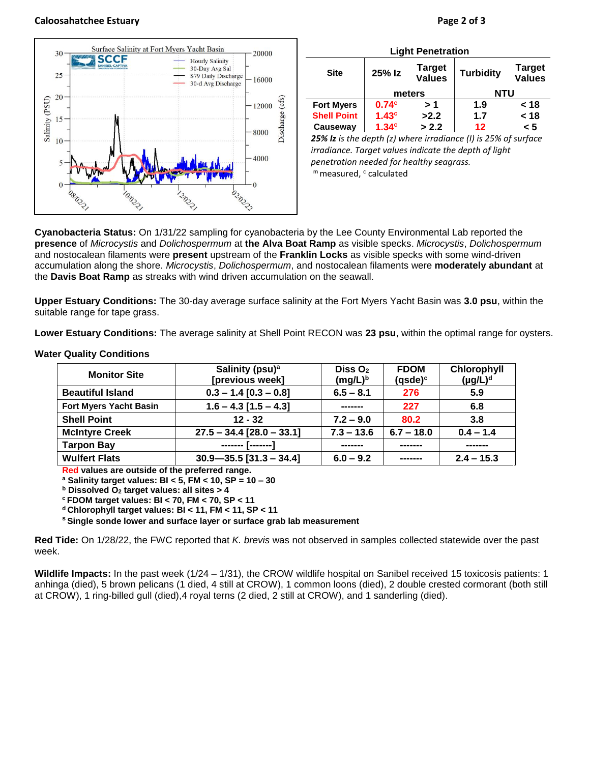## **Caloosahatchee Estuary Page 2 of 3**



| <b>Light Penetration</b> |                   |                                |                  |                                |  |  |
|--------------------------|-------------------|--------------------------------|------------------|--------------------------------|--|--|
| <b>Site</b>              | 25% Iz            | <b>Target</b><br><b>Values</b> | <b>Turbidity</b> | <b>Target</b><br><b>Values</b> |  |  |
|                          | meters            |                                | <b>NTU</b>       |                                |  |  |
| <b>Fort Myers</b>        | 0.74 <sup>c</sup> | > 1                            | 1.9              | < 18                           |  |  |
| <b>Shell Point</b>       | 1.43 <sup>c</sup> | >2.2                           | 1.7              | < 18                           |  |  |
| Causeway                 | 1.34 <sup>c</sup> | > 2.2                          | $12 \,$          | < 5                            |  |  |
| ---- - -                 | .                 | $\sim$ $\sim$ $\sim$           |                  |                                |  |  |

*25% Iz is the depth (z) where irradiance (I) is 25% of surface irradiance. Target values indicate the depth of light penetration needed for healthy seagrass.* m measured, c calculated

**Cyanobacteria Status:** On 1/31/22 sampling for cyanobacteria by the Lee County Environmental Lab reported the **presence** of *Microcystis* and *Dolichospermum* at **the Alva Boat Ramp** as visible specks. *Microcystis*, *Dolichospermum* and nostocalean filaments were **present** upstream of the **Franklin Locks** as visible specks with some wind-driven accumulation along the shore. *Microcystis*, *Dolichospermum*, and nostocalean filaments were **moderately abundant** at the **Davis Boat Ramp** as streaks with wind driven accumulation on the seawall.

**Upper Estuary Conditions:** The 30-day average surface salinity at the Fort Myers Yacht Basin was **3.0 psu**, within the suitable range for tape grass.

**Lower Estuary Conditions:** The average salinity at Shell Point RECON was **23 psu**, within the optimal range for oysters.

| <b>Monitor Site</b>     | Salinity (psu) <sup>a</sup><br>[previous week] | Diss $O2$<br>$(mg/L)^b$ | <b>FDOM</b><br>$(gsde)^c$ | Chlorophyll<br>$(\mu g/L)^d$ |
|-------------------------|------------------------------------------------|-------------------------|---------------------------|------------------------------|
| <b>Beautiful Island</b> | $0.3 - 1.4 [0.3 - 0.8]$                        | $6.5 - 8.1$             | 276                       | 5.9                          |
| Fort Myers Yacht Basin  | $1.6 - 4.3$ [1.5 - 4.3]                        |                         | 227                       | 6.8                          |
| <b>Shell Point</b>      | $12 - 32$                                      | $7.2 - 9.0$             | 80.2                      | 3.8                          |
| <b>McIntyre Creek</b>   | $27.5 - 34.4$ [28.0 - 33.1]                    | $7.3 - 13.6$            | $6.7 - 18.0$              | $0.4 - 1.4$                  |
| <b>Tarpon Bay</b>       | -------- [--------]                            |                         |                           |                              |
| <b>Wulfert Flats</b>    | $30.9 - 35.5$ [31.3 - 34.4]                    | $6.0 - 9.2$             |                           | $2.4 - 15.3$                 |

## **Water Quality Conditions**

**Red values are outside of the preferred range.**

**<sup>a</sup> Salinity target values: BI < 5, FM < 10, SP = 10 – 30**

**<sup>b</sup> Dissolved O<sup>2</sup> target values: all sites > 4**

**<sup>c</sup> FDOM target values: BI < 70, FM < 70, SP < 11**

**<sup>d</sup> Chlorophyll target values: BI < 11, FM < 11, SP < 11** 

**<sup>s</sup> Single sonde lower and surface layer or surface grab lab measurement**

**Red Tide:** On 1/28/22, the FWC reported that *K. brevis* was not observed in samples collected statewide over the past week.

**Wildlife Impacts:** In the past week (1/24 – 1/31), the CROW wildlife hospital on Sanibel received 15 toxicosis patients: 1 anhinga (died), 5 brown pelicans (1 died, 4 still at CROW), 1 common loons (died), 2 double crested cormorant (both still at CROW), 1 ring-billed gull (died),4 royal terns (2 died, 2 still at CROW), and 1 sanderling (died).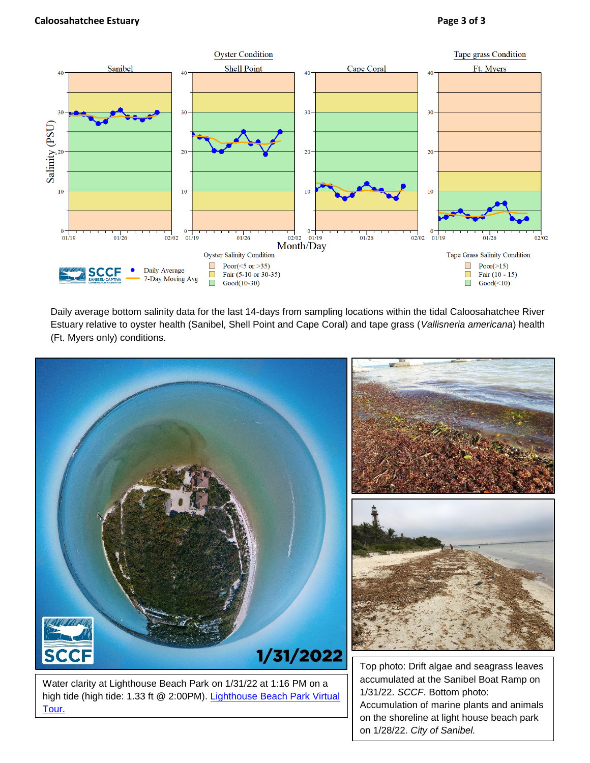

Daily average bottom salinity data for the last 14-days from sampling locations within the tidal Caloosahatchee River Estuary relative to oyster health (Sanibel, Shell Point and Cape Coral) and tape grass (*Vallisneria americana*) health (Ft. Myers only) conditions.



Accumulation of marine plants and animals on the shoreline at light house beach park on 1/28/22. *City of Sanibel.*